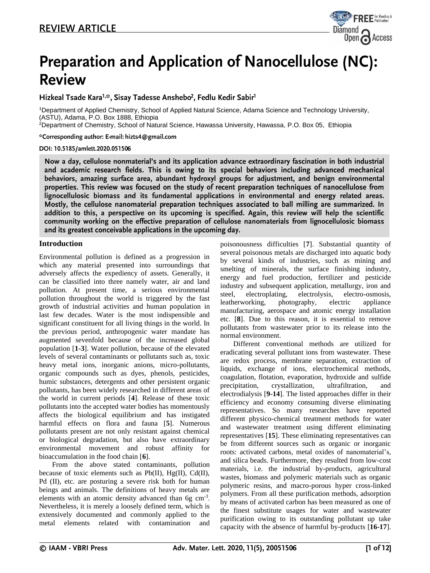

# **Preparation and Application of Nanocellulose (NC): Review**

Hizkeal Tsade Kara<sup>1,\*</sup>, Sisay Tadesse Anshebo<sup>2</sup>, Fedlu Kedir Sabir<sup>1</sup>

<sup>1</sup>Department of Applied Chemistry, School of Applied Natural Science, Adama Science and Technology University, (ASTU), Adama, P.O. Box 1888, Ethiopia

<sup>2</sup>Department of Chemistry, School of Natural Science, Hawassa University, Hawassa, P.O. Box 05, Ethiopia

\*Corresponding author: E-mail: hizts4@gmail.com

#### DOI: 10.5185/amlett.2020.051506

Now a day, cellulose nonmaterial's and its application advance extraordinary fascination in both industrial and academic research fields. This is owing to its special behaviors including advanced mechanical behaviors, amazing surface area, abundant hydroxyl groups for adjustment, and benign environmental properties. This review was focused on the study of recent preparation techniques of nanocellulose from lignocellulosic biomass and its fundamental applications in environmental and energy related areas. Mostly, the cellulose nanomaterial preparation techniques associated to ball milling are summarized. In addition to this, a perspective on its upcoming is specified. Again, this review will help the scientific community working on the effective preparation of cellulose nanomaterials from lignocellulosic biomass and its greatest conceivable applications in the upcoming day.

### **Introduction**

Environmental pollution is defined as a progression in which any material presented into surroundings that adversely affects the expediency of assets. Generally, it can be classified into three namely water, air and land pollution. At present time, a serious environmental pollution throughout the world is triggered by the fast growth of industrial activities and human population in last few decades. Water is the most indispensible and significant constituent for all living things in the world. In the previous period, anthropogenic water mandate has augmented sevenfold because of the increased global population [**1-3**]. Water pollution, because of the elevated levels of several contaminants or pollutants such as, toxic heavy metal ions, inorganic anions, micro-pollutants, organic compounds such as dyes, phenols, pesticides, humic substances, detergents and other persistent organic pollutants, has been widely researched in different areas of the world in current periods [**4**]. Release of these toxic pollutants into the accepted water bodies has momentously affects the biological equilibrium and has instigated harmful effects on flora and fauna [**5**]. Numerous pollutants present are not only resistant against chemical or biological degradation, but also have extraordinary environmental movement and robust affinity for bioaccumulation in the food chain [**6**].

From the above stated contaminants, pollution because of toxic elements such as Pb(II), Hg(II), Cd(II), Pd (II), etc. are posturing a severe risk both for human beings and animals. The definitions of heavy metals are elements with an atomic density advanced than 6g cm<sup>-3</sup>. Nevertheless, it is merely a loosely defined term, which is extensively documented and commonly applied to the metal elements related with contamination and

poisonousness difficulties [**7**]. Substantial quantity of several poisonous metals are discharged into aquatic body by several kinds of industries, such as mining and smelting of minerals, the surface finishing industry, energy and fuel production, fertilizer and pesticide industry and subsequent application, metallurgy, iron and steel, electroplating, electrolysis, electro-osmosis, leatherworking, photography, electric appliance manufacturing, aerospace and atomic energy installation etc. [**8**]. Due to this reason, it is essential to remove pollutants from wastewater prior to its release into the normal environment.

Different conventional methods are utilized for eradicating several pollutant ions from wastewater. These are redox process, membrane separation, extraction of liquids, exchange of ions, electrochemical methods, coagulation, flotation, evaporation, hydroxide and sulfide precipitation, crystallization, ultrafiltration, and electrodialysis [**9-14**]. The listed approaches differ in their efficiency and economy consuming diverse eliminating representatives. So many researches have reported different physico-chemical treatment methods for water and wastewater treatment using different eliminating representatives [**15**]. These eliminating representatives can be from different sources such as organic or inorganic roots: activated carbons, metal oxides of nanomaterial's, and silica beads. Furthermore, they resulted from low-cost materials, i.e. the industrial by-products, agricultural wastes, biomass and polymeric materials such as organic polymeric resins, and macro-porous hyper cross-linked polymers. From all these purification methods, adsorption by means of activated carbon has been measured as one of the finest substitute usages for water and wastewater purification owing to its outstanding pollutant up take capacity with the absence of harmful by-products [**16-17**].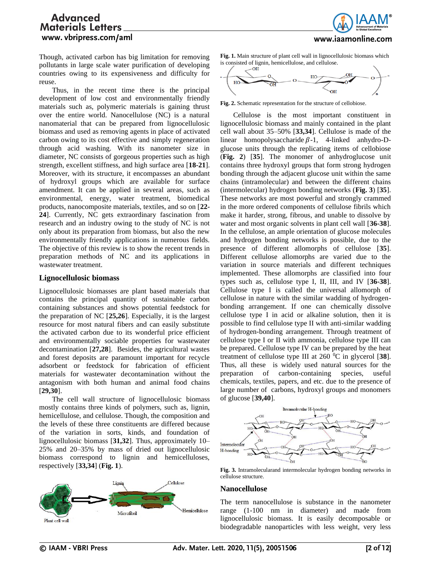www.iaamonline.com

# **Advanced** Materials Letters. www. vbripress.com/aml

Though, activated carbon has big limitation for removing pollutants in large scale water purification of developing countries owing to its expensiveness and difficulty for reuse.

Thus, in the recent time there is the principal development of low cost and environmentally friendly materials such as, polymeric materials is gaining thrust over the entire world. Nanocellulose (NC) is a natural nanomaterial that can be prepared from lignocellulosic biomass and used as removing agents in place of activated carbon owing to its cost effective and simply regeneration through acid washing. With its nanometer size in diameter, NC consists of gorgeous properties such as high strength, excellent stiffness, and high surface area [**18-21**]. Moreover, with its structure, it encompasses an abundant of hydroxyl groups which are available for surface amendment. It can be applied in several areas, such as environmental, energy, water treatment, biomedical products, nanocomposite materials, textiles, and so on [**22- 24**]. Currently, NC gets extraordinary fascination from research and an industry owing to the study of NC is not only about its preparation from biomass, but also the new environmentally friendly applications in numerous fields. The objective of this review is to show the recent trends in preparation methods of NC and its applications in wastewater treatment.

### **Lignocellulosic biomass**

Lignocellulosic biomasses are plant based materials that contains the principal quantity of sustainable carbon containing substances and shows potential feedstock for the preparation of NC [**25,26**]. Especially, it is the largest resource for most natural fibers and can easily substitute the activated carbon due to its wonderful price efficient and environmentally sociable properties for wastewater decontamination [**27,28**]. Besides, the agricultural wastes and forest deposits are paramount important for recycle adsorbent or feedstock for fabrication of efficient materials for wastewater decontamination without the antagonism with both human and animal food chains [**29,30**].

The cell wall structure of lignocellulosic biomass mostly contains three kinds of polymers, such as, lignin, hemicellulose, and cellulose. Though, the composition and the levels of these three constituents are differed because of the variation in sorts, kinds, and foundation of lignocellulosic biomass [**31,32**]. Thus, approximately 10– 25% and 20–35% by mass of dried out lignocellulosic biomass correspond to lignin and hemicelluloses, respectively [**33,34**] (**Fig. 1**).



**Fig. 1.** Main structure of plant cell wall in lignocellulosic biomass which is consisted of lignin, hemicellulose, and cellulose.



**Fig. 2.** Schematic representation for the structure of cellobiose.

Cellulose is the most important constituent in lignocellulosic biomass and mainly contained in the plant cell wall about 35–50% [**33,34**]. Cellulose is made of the linear homopolysaccharide  $\beta$ -1, 4-linked anhydro-Dglucose units through the replicating items of cellobiose (**Fig. 2**) [**35**]. The monomer of anhydroglucose unit contains three hydroxyl groups that form strong hydrogen bonding through the adjacent glucose unit within the same chains (intramolecular) and between the different chains (intermolecular) hydrogen bonding networks (**Fig. 3**) [**35**]. These networks are most powerful and strongly crammed in the more ordered components of cellulose fibrils which make it harder, strong, fibrous, and unable to dissolve by water and most organic solvents in plant cell wall [**36-38**]. In the cellulose, an ample orientation of glucose molecules and hydrogen bonding networks is possible, due to the presence of different allomorphs of cellulose [**35**]. Different cellulose allomorphs are varied due to the variation in source materials and different techniques implemented. These allomorphs are classified into four types such as, cellulose type I, II, III, and IV [**36-38**]. Cellulose type I is called the universal allomorph of cellulose in nature with the similar wadding of hydrogenbonding arrangement. If one can chemically dissolve cellulose type I in acid or alkaline solution, then it is possible to find cellulose type II with anti-similar wadding of hydrogen-bonding arrangement. Through treatment of cellulose type I or II with ammonia, cellulose type III can be prepared. Cellulose type IV can be prepared by the heat treatment of cellulose type III at  $260 \degree$ C in glycerol [38]. Thus, all these is widely used natural sources for the preparation of carbon-containing species, useful chemicals, textiles, papers, and etc. due to the presence of large number of carbons, hydroxyl groups and monomers of glucose [**39,40**].



**Fig. 3.** Intramolecularand intermolecular hydrogen bonding networks in cellulose structure.

#### **Nanocellulose**

The term nanocellulose is substance in the nanometer range (1-100 nm in diameter) and made from lignocellulosic biomass. It is easily decomposable or biodegradable nanoparticles with less weight, very less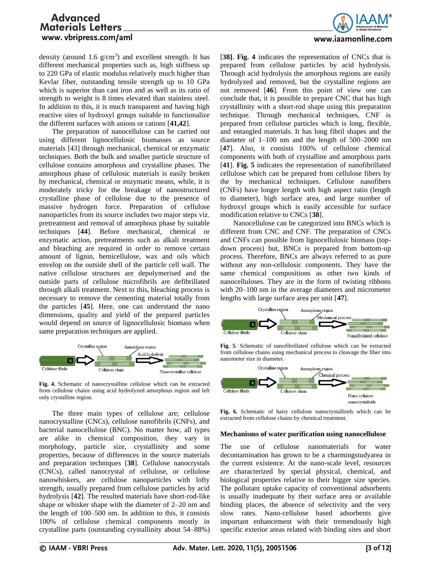

density (around 1.6  $g/cm<sup>3</sup>$ ) and excellent strength. It has different mechanical properties such as, high stiffness up to 220 GPa of elastic modulus relatively much higher than Kevlar fiber, outstanding tensile strength up to 10 GPa which is superior than cast iron and as well as its ratio of strength to weight is 8 times elevated than stainless steel. In addition to this, it is much transparent and having high reactive sites of hydroxyl groups suitable to functionalize the different surfaces with anions or cations [**41,42**].

The preparation of nanocellulose can be carried out using different lignocellulosic biomasses as source materials [43] through mechanical, chemical or enzymatic techniques. Both the bulk and smaller particle structure of cellulose contains amorphous and crystalline phases. The amorphous phase of cellulosic materials is easily broken by mechanical, chemical or enzymatic means, while, it is moderately tricky for the breakage of nanostructured crystalline phase of cellulose due to the presence of massive hydrogen force. Preparation of cellulose nanoparticles from its source includes two major steps viz. pretreatment and removal of amorphous phase by suitable techniques [**44**]. Before mechanical, chemical or enzymatic action, pretreatments such as alkali treatment and bleaching are required in order to remove certain amount of lignin, hemicellulose, wax and oils which envelop on the outside shell of the particle cell wall. The native cellulose structures are depolymerised and the outside parts of cellulose microfibrils are defibrillated through alkali treatment. Next to this, bleaching process is necessary to remove the cementing material totally from the particles [**45**]. Here, one can understand the nano dimensions, quality and yield of the prepared particles would depend on source of lignocellulosic biomass when same preparation techniques are applied.



**Fig. 4.** Schematic of nanocrystalline cellulose which can be extracted from cellulose chains using acid hydrolyzed amorphous region and left only crystalline region.

The three main types of cellulose are; cellulose nanocrystalline (CNCs), cellulose nanofibrils (CNFs), and bacterial nanocellulose (BNC). No matter how, all types are alike in chemical composition, they vary in morphology, particle size, crystallinity and some properties, because of differences in the source materials and preparation techniques [**38**]. Cellulose nanocrystals (CNCs), called nanocrystal of cellulose, or cellulose nanowhiskers, are cellulose nanoparticles with lofty strength, usually prepared from cellulose particles by acid hydrolysis [**42**]. The resulted materials have short-rod-like shape or whisker shape with the diameter of 2–20 nm and the length of 100–500 nm. In addition to this, it consists 100% of cellulose chemical components mostly in crystalline parts (outstanding crystallinity about 54–88%)

[**38]**. **Fig. 4** indicates the representation of CNCs that is prepared from cellulose particles by acid hydrolysis. Through acid hydrolysis the amorphous regions are easily hydrolyzed and removed, but the crystalline regions are not removed [**46**]. From this point of view one can conclude that, it is possible to prepare CNC that has high crystallinity with a short-rod shape using this preparation technique. Through mechanical techniques, CNF is prepared from cellulose particles which is long, flexible, and entangled materials. It has long fibril shapes and the diameter of 1–100 nm and the length of 500–2000 nm [**47**]. Also, it consists 100% of cellulose chemical components with both of crystalline and amorphous parts [**41**]. **Fig. 5** indicates the representation of nanofibrillated cellulose which can be prepared from cellulose fibers by the by mechanical techniques. Cellulose nanofibers (CNFs) have longer length with high aspect ratio (length to diameter), high surface area, and large number of hydroxyl groups which is easily accessible for surface modification relative to CNCs [**38**].

Nanocellulose can be categorized into BNCs which is different from CNC and CNF. The preparation of CNCs and CNFs can possible from lignocellulosic biomass (topdown process) but, BNCs is prepared from bottom-up process. Therefore, BNCs are always referred to as pure without any non-cellulosic components. They have the same chemical compositions as other two kinds of nanocelluloses. They are in the form of twisting ribbons with 20–100 nm in the average diameters and micrometer lengths with large surface area per unit [**47**].



**Fig. 5**. Schematic of nanofibrillated cellulose which can be extracted from cellulose chains using mechanical process to cleavage the fiber into nanometer size in diameter.



**Fig. 6.** Schematic of hairy cellulose nanocrystalloids which can be extracted from cellulose chains by chemical treatment.

#### **Mechanisms of water purification using nanocellulose**

The use of cellulose nanomaterials for water decontamination has grown to be a charmingstudyarea in the current existence. At the nano-scale level, resources are characterized by special physical, chemical, and biological properties relative to their bigger size species. The pollutant uptake capacity of conventional adsorbents is usually inadequate by their surface area or available binding places, the absence of selectivity and the very slow rates. Nano-cellulose based adsorbents give important enhancement with their tremendously high specific exterior areas related with binding sites and short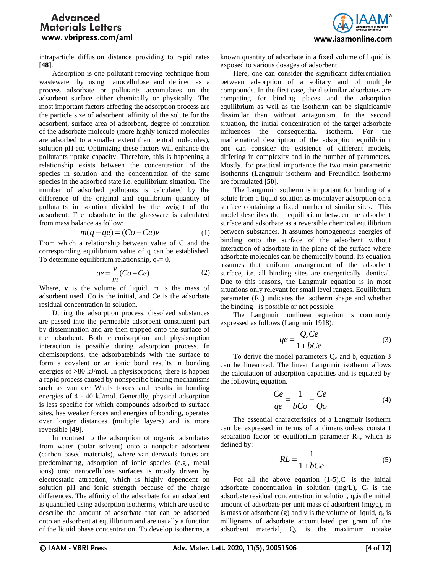

intraparticle diffusion distance providing to rapid rates [**48**].

Adsorption is one pollutant removing technique from wastewater by using nanocellulose and defined as a process adsorbate or pollutants accumulates on the adsorbent surface either chemically or physically. The most important factors affecting the adsorption process are the particle size of adsorbent, affinity of the solute for the adsorbent, surface area of adsorbent, degree of ionization of the adsorbate molecule (more highly ionized molecules are adsorbed to a smaller extent than neutral molecules), solution pH etc. Optimizing these factors will enhance the pollutants uptake capacity. Therefore, this is happening a relationship exists between the concentration of the species in solution and the concentration of the same species in the adsorbed state i.e. equilibrium situation. The number of adsorbed pollutants is calculated by the difference of the original and equilibrium quantity of pollutants in solution divided by the weight of the adsorbent. The adsorbate in the glassware is calculated from mass balance as follow:

$$
m(q - qe) = (Co - Ce)v \tag{1}
$$

From which a relationship between value of C and the corresponding equilibrium value of q can be established. To determine equilibrium relationship,  $q_0 = 0$ ,

$$
qe = \frac{v}{m}(Co - Ce) \tag{2}
$$

Where, **v** is the volume of liquid, m is the mass of adsorbent used, Co is the initial, and Ce is the adsorbate residual concentration in solution.

During the adsorption process, dissolved substances are passed into the permeable adsorbent constituent part by dissemination and are then trapped onto the surface of the adsorbent. Both chemisorption and physisorption interaction is possible during adsorption process. In chemisorptions, the adsorbatebinds with the surface to form a covalent or an ionic bond results in bonding energies of >80 kJ/mol. In physisorptions, there is happen a rapid process caused by nonspecific binding mechanisms such as van der Waals forces and results in bonding energies of 4 - 40 kJ/mol. Generally, physical adsorption is less specific for which compounds adsorbed to surface sites, has weaker forces and energies of bonding, operates over longer distances (multiple layers) and is more reversible [**49**].

In contrast to the adsorption of organic adsorbates from water (polar solvent) onto a nonpolar adsorbent (carbon based materials), where van derwaals forces are predominating, adsorption of ionic species (e.g., metal ions) onto nanocellulose surfaces is mostly driven by electrostatic attraction, which is highly dependent on solution pH and ionic strength because of the charge differences. The affinity of the adsorbate for an adsorbent is quantified using adsorption isotherms, which are used to describe the amount of adsorbate that can be adsorbed onto an adsorbent at equilibrium and are usually a function of the liquid phase concentration. To develop isotherms, a

known quantity of adsorbate in a fixed volume of liquid is exposed to various dosages of adsorbent.

Here, one can consider the significant differentiation between adsorption of a solitary and of multiple compounds. In the first case, the dissimilar adsorbates are competing for binding places and the adsorption equilibrium as well as the isotherm can be significantly dissimilar than without antagonism. In the second situation, the initial concentration of the target adsorbate influences the consequential isotherm. For the mathematical description of the adsorption equilibrium one can consider the existence of different models, differing in complexity and in the number of parameters. Mostly, for practical importance the two main parametric isotherms (Langmuir isotherm and Freundlich isotherm) are formulated [**50**].

The Langmuir isotherm is important for binding of a solute from a liquid solution as monolayer adsorption on a surface containing a fixed number of similar sites. This model describes the equilibrium between the adsorbent surface and adsorbate as a reversible chemical equilibrium between substances. It assumes homogeneous energies of binding onto the surface of the adsorbent without interaction of adsorbate in the plane of the surface where adsorbate molecules can be chemically bound. Its equation assumes that uniform arrangement of the adsorbent surface, i.e. all binding sites are energetically identical. Due to this reasons, the Langmuir equation is in most situations only relevant for small level ranges. Equilibrium parameter  $(R_L)$  indicates the isotherm shape and whether the binding is possible or not possible.

The Langmuir nonlinear equation is commonly expressed as follows (Langmuir 1918):

$$
qe = \frac{Q_o Ce}{1 + bCe}
$$
 (3)

To derive the model parameters  $Q_0$  and b, equation 3 can be linearized. The linear Langmuir isotherm allows the calculation of adsorption capacities and is equated by the following equation.

$$
\frac{Ce}{qe} = \frac{1}{bCo} + \frac{Ce}{Qo} \tag{4}
$$

The essential characteristics of a Langmuir isotherm can be expressed in terms of a dimensionless constant separation factor or equilibrium parameter R<sub>L</sub>, which is defined by:

$$
RL = \frac{1}{1 + bCe} \tag{5}
$$

For all the above equation  $(1-5)$ ,  $C_0$  is the initial adsorbate concentration in solution (mg/L),  $C_e$  is the adsorbate residual concentration in solution,  $q_0$  is the initial amount of adsorbate per unit mass of adsorbent (mg/g), m is mass of adsorbent  $(g)$  and v is the volume of liquid,  $q_e$  is milligrams of adsorbate accumulated per gram of the adsorbent material,  $Q_0$  is the maximum uptake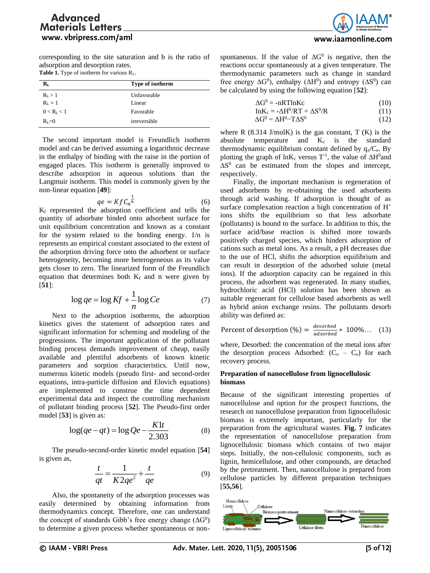

corresponding to the site saturation and b is the ratio of adsorption and desorption rates. Table 1. Type of isotherm for various R<sub>L</sub>.

| $\mathbf{R}_{\mathrm{L}}$ | Type of isotherm |  |
|---------------------------|------------------|--|
| $R_1 > 1$                 | Unfavorable      |  |
| $RL = 1$                  | Linear           |  |
| 0 < R <sub>L</sub> < 1    | Favorable        |  |
| $R_i = 0$                 | irreversible     |  |

The second important model is Freundlich isotherm model and can be derived assuming a logarithmic decrease in the enthalpy of binding with the raise in the portion of engaged places. This isotherm is generally improved to describe adsorption in aqueous solutions than the Langmuir isotherm. This model is commonly given by the non-linear equation [**49**]:

$$
qe = Kf C_n^{\frac{1}{n}} \tag{6}
$$

K<sup>f</sup> represented the adsorption coefficient and tells the quantity of adsorbate binded onto adsorbent surface for unit equilibrium concentration and known as a constant for the system related to the bonding energy. 1/n is represents an empirical constant associated to the extent of the adsorption driving force onto the adsorbent or surface heterogeneity, becoming more heterogeneous as its value gets closer to zero. The linearized form of the Freundlich equation that determines both  $K_f$  and n were given by [**51**]:

$$
\log q e = \log K f + \frac{1}{n} \log C e \tag{7}
$$

Next to the adsorption isotherms, the adsorption kinetics gives the statement of adsorption rates and significant information for scheming and modeling of the progressions. The important application of the pollutant binding process demands improvement of cheap, easily available and plentiful adsorbents of known kinetic parameters and sorption characteristics. Until now, numerous kinetic models (pseudo first- and second-order equations, intra-particle diffusion and Elovich equations) are implemented to construe the time dependent experimental data and inspect the controlling mechanism of pollutant binding process [**52**]. The Pseudo-first order model [**53**] is given as:

$$
\log(qe - qt) = \log Qe - \frac{K1t}{2.303}
$$
 (8)

The pseudo-second-order kinetic model equation [**54**] is given as,

$$
\frac{t}{qt} = \frac{1}{K2qe^2} + \frac{t}{qe}
$$
 (9)

Also, the spontaneity of the adsorption processes was easily determined by obtaining information from thermodynamics concept. Therefore, one can understand the concept of standards Gibb's free energy change  $(\Delta G^0)$ to determine a given process whether spontaneous or non-

spontaneous. If the value of  $\Delta G^0$  is negative, then the reactions occur spontaneously at a given temperature. The thermodynamic parameters such as change in standard free energy  $\Delta G^0$ ), enthalpy ( $\Delta H^0$ ) and entropy ( $\Delta S^0$ ) can be calculated by using the following equation [**52**]:

| $\Delta G^0$ = -nRTlnKc | (10) |
|-------------------------|------|
|                         |      |

$$
InK_c = -\Delta H^0/RT + \Delta S^0/R \tag{11}
$$

$$
\Delta G^0 = \Delta H^0 - T\Delta S^0 \tag{12}
$$

where R  $(8.314 \text{ J/molK})$  is the gas constant, T  $(K)$  is the absolute temperature and  $K_c$  is the standard thermodynamic equilibrium constant defined by  $q_e/C_e$ . By plotting the graph of  $ln K_c$  versus T<sup>-1</sup>, the value of  $\Delta H^0$  and  $\Delta S^0$  can be estimated from the slopes and intercept, respectively.

Finally, the important mechanism is regeneration of used adsorbents by re-obtaining the used adsorbents through acid washing. If adsorption is thought of as surface complexation reaction a high concentration of H<sup>+</sup> ions shifts the equilibrium so that less adsorbate (pollutants) is bound to the surface. In addition to this, the surface acid/base reaction is shifted more towards positively charged species, which hinders adsorption of cations such as metal ions. As a result, a pH decreases due to the use of HCl, shifts the adsorption equilibrium and can result in desorption of the adsorbed solute (metal ions). If the adsorption capacity can be regained in this process, the adsorbent was regenerated. In many studies, hydrochloric acid (HCl) solution has been shown as suitable regenerant for cellulose based adsorbents as well as hybrid anion exchange resins. The pollutants desorb ability was defined as:

Percent of desorption (%) = 
$$
\frac{desorbed}{adsorbed} * 100\%...
$$
 (13)

where, Desorbed: the concentration of the metal ions after the desorption process Adsorbed:  $(C_o - C_e)$  for each recovery process.

### **Preparation of nanocellulose from lignocellulosic biomass**

Because of the significant interesting properties of nanocellulose and option for the prospect functions, the research on nanocellulose preparation from lignocellulosic biomass is extremely important, particularly for the preparation from the agricultural wastes. **Fig. 7** indicates the representation of nanocellulose preparation from lignocellulosic biomass which contains of two major steps. Initially, the non-cellulosic components, such as lignin, hemicellulose, and other compounds, are detached by the pretreatment. Then, nanocellulose is prepared from cellulose particles by different preparation techniques [**55,56**].

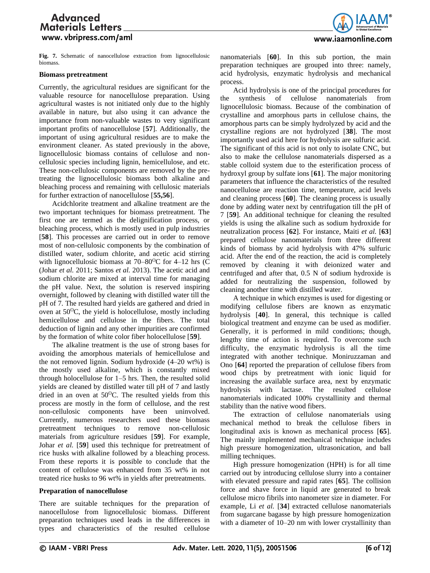**Fig. 7.** Schematic of nanocellulose extraction from lignocellulosic biomass.

#### **Biomass pretreatment**

Currently, the agricultural residues are significant for the valuable resource for nanocellulose preparation. Using agricultural wastes is not initiated only due to the highly available in nature, but also using it can advance the importance from non-valuable wastes to very significant important profits of nanocellulose [**57**]. Additionally, the important of using agricultural residues are to make the environment cleaner. As stated previously in the above, lignocellulosic biomass contains of cellulose and noncellulosic species including lignin, hemicellulose, and etc. These non-cellulosic components are removed by the pretreating the lignocellulosic biomass both alkaline and bleaching process and remaining with cellulosic materials for further extraction of nanocellulose [**55,56**].

Acidchlorite treatment and alkaline treatment are the two important techniques for biomass pretreatment. The first one are termed as the delignification process, or bleaching process, which is mostly used in pulp industries [**58**]. This processes are carried out in order to remove most of non-cellulosic components by the combination of distilled water, sodium chlorite, and acetic acid stirring with lignocellulosic biomass at  $70-80^{\circ}\text{C}$  for 4–12 hrs (C (Johar *et al.* 2011; Santos *et al.* 2013). The acetic acid and sodium chlorite are mixed at interval time for managing the pH value. Next, the solution is reserved inspiring overnight, followed by cleaning with distilled water till the pH of 7. The resulted hard yields are gathered and dried in oven at  $50^{\circ}$ C, the yield is holocellulose, mostly including hemicellulose and cellulose in the fibers. The total deduction of lignin and any other impurities are confirmed by the formation of white color fiber holocellulose [**59**].

The alkaline treatment is the use of strong bases for avoiding the amorphous materials of hemicellulose and the not removed lignin. Sodium hydroxide (4–20 wt%) is the mostly used alkaline, which is constantly mixed through holocellulose for 1–5 hrs. Then, the resulted solid yields are cleaned by distilled water till pH of 7 and lastly dried in an oven at  $50^{\circ}$ C. The resulted yields from this process are mostly in the form of cellulose, and the rest non-cellulosic components have been uninvolved. Currently, numerous researchers used these biomass pretreatment techniques to remove non-cellulosic materials from agriculture residues [**59**]. For example, Johar *et al.* [**59**] used this technique for pretreatment of rice husks with alkaline followed by a bleaching process. From these reports it is possible to conclude that the content of cellulose was enhanced from 35 wt% in not treated rice husks to 96 wt% in yields after pretreatments.

#### **Preparation of nanocellulose**

There are suitable techniques for the preparation of nanocellulose from lignocellulosic biomass. Different preparation techniques used leads in the differences in types and characteristics of the resulted cellulose nanomaterials [**60**]. In this sub portion, the main preparation techniques are grouped into three: namely, acid hydrolysis, enzymatic hydrolysis and mechanical process.

Acid hydrolysis is one of the principal procedures for the synthesis of cellulose nanomaterials from lignocellulosic biomass. Because of the combination of crystalline and amorphous parts in cellulose chains, the amorphous parts can be simply hydrolyzed by acid and the crystalline regions are not hydrolyzed [**38**]. The most importantly used acid here for hydrolysis are sulfuric acid. The significant of this acid is not only to isolate CNC, but also to make the cellulose nanomaterials dispersed as a stable colloid system due to the esterification process of hydroxyl group by sulfate ions [**61**]. The major monitoring parameters that influence the characteristics of the resulted nanocellulose are reaction time, temperature, acid levels and cleaning process [**60**]. The cleaning process is usually done by adding water next by centrifugation till the pH of 7 [**59**]. An additional technique for cleaning the resulted yields is using the alkaline such as sodium hydroxide for neutralization process [**62**]. For instance, Maiti *et al.* [**63**] prepared cellulose nanomaterials from three different kinds of biomass by acid hydrolysis with 47% sulfuric acid. After the end of the reaction, the acid is completely removed by cleaning it with deionized water and centrifuged and after that, 0.5 N of sodium hydroxide is added for neutralizing the suspension, followed by cleaning another time with distilled water.

A technique in which enzymes is used for digesting or modifying cellulose fibers are known as enzymatic hydrolysis [**40**]. In general, this technique is called biological treatment and enzyme can be used as modifier. Generally, it is performed in mild conditions; though, lengthy time of action is required. To overcome such difficulty, the enzymatic hydrolysis is all the time integrated with another technique. Moniruzzaman and Ono [**64**] reported the preparation of cellulose fibers from wood chips by pretreatment with ionic liquid for increasing the available surface area, next by enzymatic hydrolysis with lactase. The resulted cellulose nanomaterials indicated 100% crystallinity and thermal stability than the native wood fibers.

The extraction of cellulose nanomaterials using mechanical method to break the cellulose fibers in longitudinal axis is known as mechanical process [**65**]. The mainly implemented mechanical technique includes high pressure homogenization, ultrasonication, and ball milling techniques.

High pressure homogenization (HPH) is for all time carried out by introducing cellulose slurry into a container with elevated pressure and rapid rates [**65**]. The collision force and shave force in liquid are generated to break cellulose micro fibrils into nanometer size in diameter. For example, Li *et al.* [**34**] extracted cellulose nanomaterials from sugarcane bagasse by high pressure homogenization with a diameter of 10–20 nm with lower crystallinity than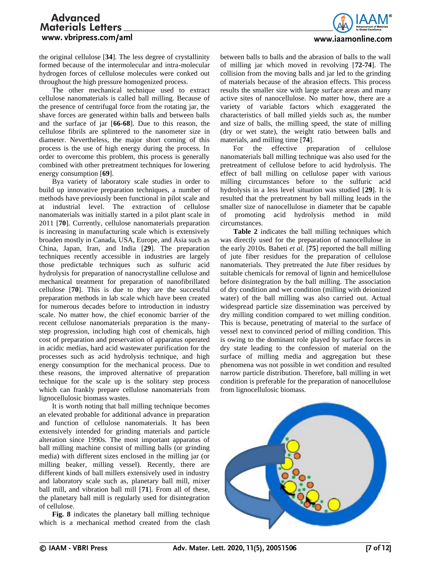

the original cellulose [**34**]. The less degree of crystallinity formed because of the intermolecular and intra-molecular hydrogen forces of cellulose molecules were conked out throughout the high pressure homogenized process.

The other mechanical technique used to extract cellulose nanomaterials is called ball milling. Because of the presence of centrifugal force from the rotating jar, the shave forces are generated within balls and between balls and the surface of jar [**66-68**]. Due to this reason, the cellulose fibrils are splintered to the nanometer size in diameter. Nevertheless, the major short coming of this process is the use of high energy during the process. In order to overcome this problem, this process is generally combined with other pretreatment techniques for lowering energy consumption [**69**].

Bya variety of laboratory scale studies in order to build up innovative preparation techniques, a number of methods have previously been functional in pilot scale and at industrial level. The extraction of cellulose nanomaterials was initially started in a pilot plant scale in 2011 [**70**]. Currently, cellulose nanomaterials preparation is increasing in manufacturing scale which is extensively broaden mostly in Canada, USA, Europe, and Asia such as China, Japan, Iran, and India [**29**]. The preparation techniques recently accessible in industries are largely those predictable techniques such as sulfuric acid hydrolysis for preparation of nanocrystalline cellulose and mechanical treatment for preparation of nanofibrillated cellulose [**70**]. This is due to they are the successful preparation methods in lab scale which have been created for numerous decades before to introduction in industry scale. No matter how, the chief economic barrier of the recent cellulose nanomaterials preparation is the manystep progression, including high cost of chemicals, high cost of preparation and preservation of apparatus operated in acidic medias, hard acid wastewater purification for the processes such as acid hydrolysis technique, and high energy consumption for the mechanical process. Due to these reasons, the improved alternative of preparation technique for the scale up is the solitary step process which can frankly prepare cellulose nanomaterials from lignocellulosic biomass wastes.

It is worth noting that ball milling technique becomes an elevated probable for additional advance in preparation and function of cellulose nanomaterials. It has been extensively intended for grinding materials and particle alteration since 1990s. The most important apparatus of ball milling machine consist of milling balls (or grinding media) with different sizes enclosed in the milling jar (or milling beaker, milling vessel). Recently, there are different kinds of ball millers extensively used in industry and laboratory scale such as, planetary ball mill, mixer ball mill, and vibration ball mill [**71**]. From all of these, the planetary ball mill is regularly used for disintegration of cellulose.

**Fig. 8** indicates the planetary ball milling technique which is a mechanical method created from the clash

between balls to balls and the abrasion of balls to the wall of milling jar which moved in revolving [**72-74**]. The collision from the moving balls and jar led to the grinding of materials because of the abrasion effects. This process results the smaller size with large surface areas and many active sites of nanocellulose. No matter how, there are a variety of variable factors which exaggerated the characteristics of ball milled yields such as, the number and size of balls, the milling speed, the state of milling (dry or wet state), the weight ratio between balls and materials, and milling time [**74**].

For the effective preparation of cellulose nanomaterials ball milling technique was also used for the pretreatment of cellulose before to acid hydrolysis. The effect of ball milling on cellulose paper with various milling circumstances before to the sulfuric acid hydrolysis in a less level situation was studied [**29**]. It is resulted that the pretreatment by ball milling leads in the smaller size of nanocellulose in diameter that be capable of promoting acid hydrolysis method in mild circumstances.

**Table 2** indicates the ball milling techniques which was directly used for the preparation of nanocellulose in the early 2010s. Baheti *et al.* [**75**] reported the ball milling of jute fiber residues for the preparation of cellulose nanomaterials. They pretreated the Jute fiber residues by suitable chemicals for removal of lignin and hemicellulose before disintegration by the ball milling. The association of dry condition and wet condition (milling with deionized water) of the ball milling was also carried out. Actual widespread particle size dissemination was perceived by dry milling condition compared to wet milling condition. This is because, penetrating of material to the surface of vessel next to convinced period of milling condition. This is owing to the dominant role played by surface forces in dry state leading to the confession of material on the surface of milling media and aggregation but these phenomena was not possible in wet condition and resulted narrow particle distribution. Therefore, ball milling in wet condition is preferable for the preparation of nanocellulose from lignocellulosic biomass.

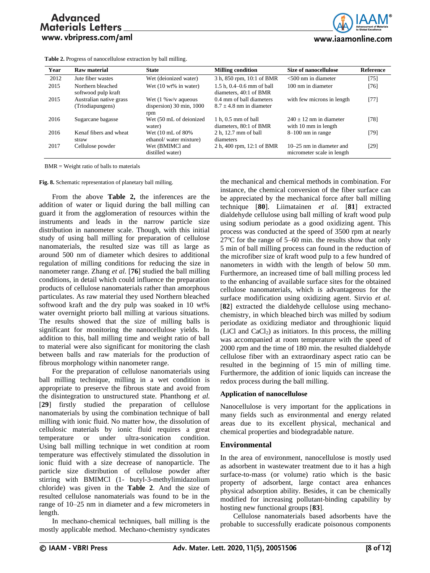**Table 2.** Progress of nanocellulose extraction by ball milling.



| Year | Raw material                                | <b>State</b>                                                                           | <b>Milling condition</b>                                  | Size of nanocellulose                                    | <b>Reference</b> |
|------|---------------------------------------------|----------------------------------------------------------------------------------------|-----------------------------------------------------------|----------------------------------------------------------|------------------|
| 2012 | Jute fiber wastes                           | Wet (deionized water)                                                                  | 3 h, 850 rpm, 10:1 of BMR                                 | $<$ 500 nm in diameter                                   | $[75]$           |
| 2015 | Northern bleached<br>softwood pulp kraft    | Wet $(10 \text{ wt\% in water})$                                                       | $1.5$ h, $0.4 - 0.6$ mm of ball<br>diameters, 40:1 of BMR | 100 nm in diameter                                       | [76]             |
| 2015 | Australian native grass<br>(Triodiapungens) | Wet $(1\ \text{Ww/v} \text{ aqueous})$<br>dispersion) $30 \text{ min}$ , $1000$<br>rpm | 0.4 mm of ball diameters<br>$8.7 + 4.8$ nm in diameter    | with few microns in length                               | $[77]$           |
| 2016 | Sugarcane bagasse                           | Wet (50 mL of deionized<br>water)                                                      | $1 h, 0.5 mm$ of ball<br>diameters, 80:1 of BMR           | $240 + 12$ nm in diameter<br>with 10 mm in length        | $[78]$           |
| 2016 | Kenaf fibers and wheat<br>straw             | Wet $(10 \text{ mL of } 80\%$<br>ethanol/water mixture)                                | 2 h, 12.7 mm of ball<br>diameters                         | $8-100$ nm in range                                      | $[79]$           |
| 2017 | Cellulose powder                            | Wet (BMIMCl and<br>distilled water)                                                    | 2 h, 400 rpm, 12:1 of BMR                                 | $10-25$ nm in diameter and<br>micrometer scale in length | [29]             |

BMR = Weight ratio of balls to materials

**Fig. 8.** Schematic representation of planetary ball milling.

From the above **Table 2,** the inferences are the addition of water or liquid during the ball milling can guard it from the agglomeration of resources within the instruments and leads in the narrow particle size distribution in nanometer scale. Though, with this initial study of using ball milling for preparation of cellulose nanomaterials, the resulted size was till as large as around 500 nm of diameter which desires to additional regulation of milling conditions for reducing the size in nanometer range. Zhang *et al.* [**76**] studied the ball milling conditions, in detail which could influence the preparation products of cellulose nanomaterials rather than amorphous particulates. As raw material they used Northern bleached softwood kraft and the dry pulp was soaked in 10 wt% water overnight priorto ball milling at various situations. The results showed that the size of milling balls is significant for monitoring the nanocellulose yields. In addition to this, ball milling time and weight ratio of ball to material were also significant for monitoring the clash between balls and raw materials for the production of fibrous morphology within nanometer range.

For the preparation of cellulose nanomaterials using ball milling technique, milling in a wet condition is appropriate to preserve the fibrous state and avoid from the disintegration to unstructured state. Phanthong *et al.* [**29**] firstly studied the preparation of cellulose nanomaterials by using the combination technique of ball milling with ionic fluid. No matter how, the dissolution of cellulosic materials by ionic fluid requires a great temperature or under ultra-sonication condition. Using ball milling technique in wet condition at room temperature was effectively stimulated the dissolution in ionic fluid with a size decrease of nanoparticle. The particle size distribution of cellulose powder after stirring with BMIMCl (1- butyl-3-methylimidazolium chloride) was given in the **Table 2**. And the size of resulted cellulose nanomaterials was found to be in the range of 10–25 nm in diameter and a few micrometers in length.

In mechano-chemical techniques, ball milling is the mostly applicable method. Mechano-chemistry syndicates

the mechanical and chemical methods in combination. For instance, the chemical conversion of the fiber surface can be appreciated by the mechanical force after ball milling technique [**80**]. Liimatainen *et al.* [**81**] extracted dialdehyde cellulose using ball milling of kraft wood pulp using sodium periodate as a good oxidizing agent. This process was conducted at the speed of 3500 rpm at nearly  $27^{\circ}$ C for the range of 5–60 min. the results show that only 5 min of ball milling process can found in the reduction of the microfiber size of kraft wood pulp to a few hundred of nanometers in width with the length of below 50 mm. Furthermore, an increased time of ball milling process led to the enhancing of available surface sites for the obtained cellulose nanomaterials, which is advantageous for the surface modification using oxidizing agent. Sirvio *et al.* [**82**] extracted the dialdehyde cellulose using mechanochemistry, in which bleached birch was milled by sodium periodate as oxidizing mediator and throughionic liquid  $(LiCl and CaCl<sub>2</sub>)$  as initiators. In this process, the milling was accompanied at room temperature with the speed of 2000 rpm and the time of 180 min. the resulted dialdehyde cellulose fiber with an extraordinary aspect ratio can be resulted in the beginning of 15 min of milling time. Furthermore, the addition of ionic liquids can increase the redox process during the ball milling.

### **Application of nanocellulose**

Nanocellulose is very important for the applications in many fields such as environmental and energy related areas due to its excellent physical, mechanical and chemical properties and biodegradable nature.

### **Environmental**

In the area of environment, nanocellulose is mostly used as adsorbent in wastewater treatment due to it has a high surface-to-mass (or volume) ratio which is the basic property of adsorbent, large contact area enhances physical adsorption ability. Besides, it can be chemically modified for increasing pollutant-binding capability by hosting new functional groups [**83**].

Cellulose nanomaterials based adsorbents have the probable to successfully eradicate poisonous components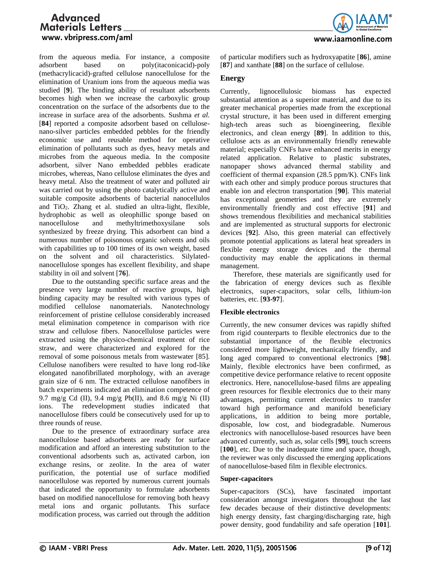

from the aqueous media. For instance, a composite adsorbent based on poly(itaconicacid)-poly (methacrylicacid)-grafted cellulose nanocellulose for the elimination of Uranium ions from the aqueous media was studied [**9**]. The binding ability of resultant adsorbents becomes high when we increase the carboxylic group concentration on the surface of the adsorbents due to the increase in surface area of the adsorbents. Sushma *et al.* [**84**] reported a composite adsorbent based on cellulosenano-silver particles embedded pebbles for the friendly economic use and reusable method for operative elimination of pollutants such as dyes, heavy metals and microbes from the aqueous media. In the composite adsorbent, silver Nano embedded pebbles eradicate microbes, whereas, Nano cellulose eliminates the dyes and heavy metal. Also the treatment of water and polluted air was carried out by using the photo catalytically active and suitable composite adsorbents of bacterial nanocellulos and TiO2. Zhang et al. studied an ultra-light, flexible, hydrophobic as well as oleophillic sponge based on nanocellulose and methyltrimethoxysilane sols synthesized by freeze drying. This adsorbent can bind a numerous number of poisonous organic solvents and oils with capabilities up to 100 times of its own weight, based on the solvent and oil characteristics. Silylatednanocellulose sponges has excellent flexibility, and shape stability in oil and solvent [**76**].

Due to the outstanding specific surface areas and the presence very large number of reactive groups, high binding capacity may be resulted with various types of modified cellulose nanomaterials. Nanotechnology reinforcement of pristine cellulose considerably increased metal elimination competence in comparison with rice straw and cellulose fibers. Nanocellulose particles were extracted using the physico-chemical treatment of rice straw, and were characterized and explored for the removal of some poisonous metals from wastewater [85]. Cellulose nanofibers were resulted to have long rod-like elongated nanofibrillated morphology, with an average grain size of 6 nm. The extracted cellulose nanofibers in batch experiments indicated an elimination competence of 9.7 mg/g Cd (II), 9.4 mg/g Pb(II), and 8.6 mg/g Ni (II) ions. The redevelopment studies indicated that nanocellulose fibers could be consecutively used for up to three rounds of reuse.

Due to the presence of extraordinary surface area nanocellulose based adsorbents are ready for surface modification and afford an interesting substitution to the conventional adsorbents such as, activated carbon, ion exchange resins, or zeolite. In the area of water purification, the potential use of surface modified nanocellulose was reported by numerous current journals that indicated the opportunity to formulate adsorbents based on modified nanocellulose for removing both heavy metal ions and organic pollutants. This surface modification process, was carried out through the addition of particular modifiers such as hydroxyapatite [**86**], amine [**87**] and xanthate [**88**] on the surface of cellulose.

# **Energy**

Currently, lignocellulosic biomass has expected substantial attention as a superior material, and due to its greater mechanical properties made from the exceptional crystal structure, it has been used in different emerging high-tech areas such as bioengineering, flexible electronics, and clean energy [**89**]. In addition to this, cellulose acts as an environmentally friendly renewable material; especially CNFs have enhanced merits in energy related application. Relative to plastic substrates, nanopaper shows advanced thermal stability and coefficient of thermal expansion (28.5 ppm/K). CNFs link with each other and simply produce porous structures that enable ion and electron transportation [**90**]. This material has exceptional geometries and they are extremely environmentally friendly and cost effective [**91**] and shows tremendous flexibilities and mechanical stabilities and are implemented as structural supports for electronic devices [**92**]. Also, this green material can effectively promote potential applications as lateral heat spreaders in flexible energy storage devices and the thermal conductivity may enable the applications in thermal management.

Therefore, these materials are significantly used for the fabrication of energy devices such as flexible electronics, super-capacitors, solar cells, lithium-ion batteries, etc. [**93-97**].

### **Flexible electronics**

Currently, the new consumer devices was rapidly shifted from rigid counterparts to flexible electronics due to the substantial importance of the flexible electronics considered more lightweight, mechanically friendly, and long aged compared to conventional electronics [**98**]. Mainly, flexible electronics have been confirmed, as competitive device performance relative to recent opposite electronics. Here, nanocellulose-based films are appealing green resources for flexible electronics due to their many advantages, permitting current electronics to transfer toward high performance and manifold beneficiary applications, in addition to being more portable, disposable, low cost, and biodegradable. Numerous electronics with nanocellulose-based resources have been advanced currently, such as, solar cells [**99**], touch screens [**100**], etc. Due to the inadequate time and space, though, the reviewer was only discussed the emerging applications of nanocellulose-based film in flexible electronics.

### **Super-capacitors**

Super-capacitors (SCs), have fascinated important consideration amongst investigators throughout the last few decades because of their distinctive developments: high energy density, fast charging/discharging rate, high power density, good fundability and safe operation [**101**].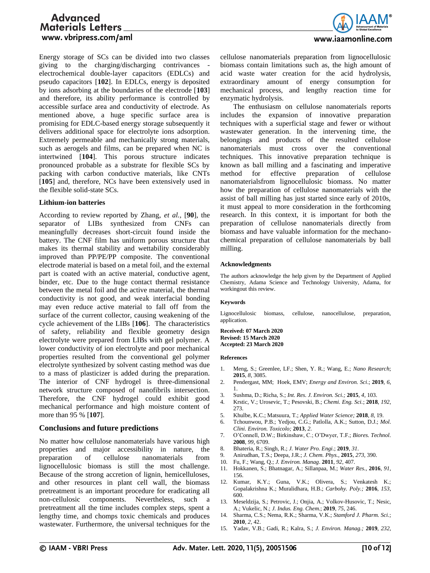

Energy storage of SCs can be divided into two classes giving to the charging/discharging contrivances electrochemical double-layer capacitors (EDLCs) and pseudo capacitors [**102**]. In EDLCs, energy is deposited by ions adsorbing at the boundaries of the electrode [**103**] and therefore, its ability performance is controlled by accessible surface area and conductivity of electrode. As mentioned above, a huge specific surface area is promising for EDLC-based energy storage subsequently it delivers additional space for electrolyte ions adsorption. Extremely permeable and mechanically strong materials, such as aerogels and films, can be prepared when NC is intertwined [**104**]. This porous structure indicates pronounced probable as a substrate for flexible SCs by packing with carbon conductive materials, like CNTs [105] and, therefore, NCs have been extensively used in the flexible solid-state SCs.

### **Lithium-ion batteries**

According to review reported by Zhang, *et al.,* [**90**], the separator of LIBs synthesized from CNFs can meaningfully decreases short-circuit found inside the battery. The CNF film has uniform porous structure that makes its thermal stability and wettability considerably improved than PP/PE/PP composite. The conventional electrode material is based on a metal foil, and the external part is coated with an active material, conductive agent, binder, etc. Due to the huge contact thermal resistance between the metal foil and the active material, the thermal conductivity is not good, and weak interfacial bonding may even reduce active material to fall off from the surface of the current collector, causing weakening of the cycle achievement of the LIBs [**106**]. The characteristics of safety, reliability and flexible geometry design electrolyte were prepared from LIBs with gel polymer. A lower conductivity of ion electrolyte and poor mechanical properties resulted from the conventional gel polymer electrolyte synthesized by solvent casting method was due to a mass of plasticizer is added during the preparation. The interior of CNF hydrogel is three-dimensional network structure composed of nanofibrils intersection. Therefore, the CNF hydrogel could exhibit good mechanical performance and high moisture content of more than 95 % [**107**].

### **Conclusions and future predictions**

No matter how cellulose nanomaterials have various high properties and major accessibility in nature, the preparation of cellulose nanomaterials from lignocellulosic biomass is still the most challenge. Because of the strong accretion of lignin, hemicelluloses, and other resources in plant cell wall, the biomass pretreatment is an important procedure for eradicating all non-cellulosic components. Nevertheless, such a pretreatment all the time includes complex steps, spent a lengthy time, and chomps toxic chemicals and produces wastewater. Furthermore, the universal techniques for the cellulose nanomaterials preparation from lignocellulosic biomass contain limitations such as, the high amount of acid waste water creation for the acid hydrolysis, extraordinary amount of energy consumption for mechanical process, and lengthy reaction time for enzymatic hydrolysis.

The enthusiasm on cellulose nanomaterials reports includes the expansion of innovative preparation techniques with a superficial stage and fewer or without wastewater generation. In the intervening time, the belongings and products of the resulted cellulose nanomaterials must cross over the conventional techniques. This innovative preparation technique is known as ball milling and a fascinating and imperative method for effective preparation of cellulose nanomaterialsfrom lignocellulosic biomass. No matter how the preparation of cellulose nanomaterials with the assist of ball milling has just started since early of 2010s, it must appeal to more consideration in the forthcoming research. In this context, it is important for both the preparation of cellulose nanomaterials directly from biomass and have valuable information for the mechanochemical preparation of cellulose nanomaterials by ball milling.

#### **Acknowledgments**

The authors acknowledge the help given by the Department of Applied Chemistry, Adama Science and Technology University, Adama, for workingout this review.

#### **Keywords**

Lignocellulosic biomass, cellulose, nanocellulose, preparation, application.

**Received: 07 March 2020 Revised: 15 March 2020 Accepted: 23 March 2020**

#### **References**

- 1. Meng, S.; Greenlee, LF.; Shen, Y. R.; Wang, E.; *Nano Research*; **2015**, *8,* 3085.
- 2. Pendergast, MM; Hoek, EMV; *Energy and Environ. Sci*.; **2019**, *6,* 1.
- 3. Sushma, D.; Richa, S.; *Int. Res. J. Environ. Sci.;* **2015**, *4,* 103.
- 4. Krstic, V.; Urosevic, T.; Pesovski, B.; *Chemi. Eng. Sci.*; **2018**, *192*, 273.
- 5. Khulbe, K.C.; Matsuura, T.; *Applied Water Science;* **2018**, *8,* 19.
- 6. Tchounwou, P.B.; Yedjou, C.G.; Patlolla, A.K.; Sutton, D.J.; *Mol. Clini. Environ. Toxicolo;* **2013**, *2*.
- 7. O'Connell, D.W.; Birkinshaw, C.; O'Dwyer, T.F.; *Biores. Technol.* **2008**, *99,* 6709.
- 8. Bhateria, R.; Singh, R.; *J. Water Pro. Engi.*; **2019**, *31*.
- 9. Anirudhan, T.S.; Deepa, J.R.; *J. Chem. Phys.,* **2015**, *273*, 390.
- 10. Fu, F.; Wang, Q.; *J. Environ. Manag*. **2011**, *92,* 407.
- 11. Hokkanen, S.; Bhatnagar, A.; Sillanpaa, M.; *Water Res.,* **2016**, *91*, 156.
- 12. Kumar, K.Y.; Guna, V.K.; Olivera, S.; Venkatesh K.; Gopalakrishna K.; Muralidhara, H.B.; *Carbohy. Poly.;* **2016**, *153*, 600.
- 13. Meseldzija, S.; Petrovic, J.; Onjia, A.; Volkov-Husovic, T.; Nesic, A.; Vukelic, N.; *J. Indus. Eng. Chem.*; **2019**, *75*, 246.
- 14. Sharma, C.S.; Nema, R.K.; Sharma, V.K.; *Stamford J. Pharm. Sci.*; **2010**, *2,* 42.
- 15. Yadav, V.B.; Gadi, R.; Kalra, S.; *J. Environ. Manag.;* **2019**, *232*,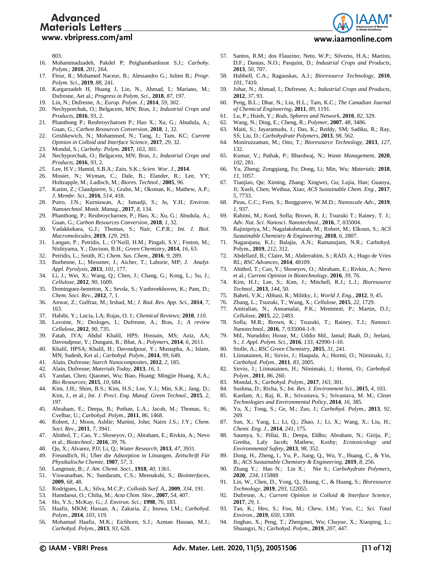

#### www.iaamonline.com

803.

- 16. Mohammadzadeh, Pakdel P; Peighambardoust S.J.; *Carbohy. Polym.;* **2018**, *201*, 264.
- 17. Fleur, R.; Mohamed Naceur, B.; Alessandro G.; Julien B.; *Progr. Polym. Sci.,* **2019**, *88,* 241. 18. Kargarzadeh H, Huang J, Lin, N., Ahmad, I.; Mariano, M.;
- Dufresne, Aet al.; *Progress in Polym. Sci.*, **2018**, *87*, 197.
- 19. Lin, N.; Dufresne, A.; *Europ. Polym. J.*; **2014**, *59*, 302.
- 20. Nechyporchuk, O.; Belgacem, MN; Bras, J.; *Industrial Crops and Products*, **2016**, *93*, 2.
- 21. Phanthong P.; Reubroycharoen P.; Hao X.; Xu, G.; Abudula, A.; Guan, G.; *Carbon Resources Conversion*, **2018**, *1,* 32.
- 22. Grishkewich, N.; Mohammed, N.; Tang, J.; Tam, KC; *Current Opinion in Colloid and Interface Science*, **2017**, *29*, 32.
- 23. Mondal, S.; *Carbohy. Polym.* **2017**, *163*, 301.
- 24. Nechyporchuk, O.; Belgacem, MN; Bras, J.; *Industrial Crops and Products,* **2016**, *93*, 2.
- *25.* Lee, H.V.; Hamid, S.B.A.; Zain, S.K.; *Scien. Wor. J.,* **2014**.
- 26. Mosier, N.; Wyman, C.; Dale, B.; Elander, R.; Lee, YY; Holtzapple, M.; Ladisch, M.; *Biores. Technol.;* **2005**, *96*.
- 27. Karim, Z.; Claudpierre, S.; Grahn, M.; Oksman, K.; Mathew, A.P.; *J. Membr. Sci.*, **2016**, *514*, 418.
- 28. Putro, J.N.; Kurniawan, A.; Ismadji, S.; Ju, Y.H.; *Environ. Nanotechnol. Monit. Manag.*, **2017**, *8*, 134.
- 29. Phanthong, P.; Reubroycharoen, P.; Hao, X.; Xu, G.; Abudula, A.; Guan, G.; *Carbon Resources Conversion*, **2018**, *1*, 32.
- 30. Vadakkekara, G.J.; Thomas, S.; Nair, C.P.R.; *Int. J. Biol. Macromolecules*, **2019**, *129*, 293.
- 31. Langan, P.; Petridis, L.; O'Neill, H.M.; Pingali, S.V.; Foston, M.; Nishiyama, Y.; Davison, B.H.; *Green Chemistry*, **2014**, *16*, 63.
- 32. Petridis, L.; Smith, JC; *Chem. Sus. Chem*., **2016**, *9*, 289.
- 33. Burhenne, L.; Messmer, J.; Aicher, T.; Laborie, MP; *J. Analyt. Appl. Pyrolysis*, **2013**, *101*, 177.
- 34. Li, J.; Wei, X.; Wang, Q.; Chen, J.; Chang, G.; Kong, L.; Su, J.; *Cellulose,* **2012**, *90*, 1609.
- 35. Dominguez-benetton, X.; Sevda, S.; Vanbroekhoven, K.; Pant, D.; *Chem. Soci. Rev.,* **2012**, *7,* 1.
- 36. Anwar, Z.; Gulfraz, M.; Irshad, M.; *J. Rad. Res. App. Sci.*, **2014**, *7*, 163.
- 37. Habibi, Y.; Lucia, LA; Rojas, O. J.; *Chemical Reviews;* **2010**, *110*.
- 38. Lavoine, N.; Desloges, I.; Dufresne, A.; Bras, J.; *A review Cellulose,* **2012**, *90*, 735.
- 39. Fatah, IYA; Abdul Khalil, HPS; Hossain, MS; Aziz, AA; Davoudpour, Y.; Dungani, R.; Bhat, A.; *Polymers*, **2014**, *6*, 2611.
- *40.* Khalil, HPSA; Khalil, H.; Davoudpour, Y.; Mustapha, A.; Islam, MN; Sudesh, Ket al.; *Carbohyd. Polym.,* **2014**, *99*, 649.
- 41. Alain, Dufresne; *Starch Nanocomposites*, **2012**, *2,* 185.
- 42. Alain, Dufresne; *Materials Today,* **2013**, *16*, 1.
- 43. Yandan, Chen; Qiaomei, Wu; Biao, Huang; Mingjie Huang, X.A.; *Bio Resources*; **2015**, *10,* 684.
- 44. Kim, J.H.; Shim, B.S.; Kim, H.S.; Lee, Y.J.; Min, S.K.; Jang, D.; Kim, J., et al.; *Int. J. Preci. Eng. Manuf. Green Technol.*, **2015**, *2*, 197.
- 45. Abraham, E.; Deepa, B.; Pothan, L.A.; Jacob, M.; Thomas, S.; Cvelbar, U.; *Carbohyd. Polym.,* **2011**, *86,* 1468.
- 46. Robert, J.; Moon, Ashlie; Martini, John; Nairn J.S.; J.Y.; *Chem. Soci. Rev.,* **2011**, *7,* 3941.
- 47. Abitbol, T.; Cao, Y.; Shoseyov, O.; Abraham, E.; Rivkin, A.; Nevo et al.; *Biotechnol.;* **2016**, *39,* 76.
- 48. Qu, X.; Alvarez, PJJ; Li, Q.; *Water Research*; **2013**, *47,* 3931.
- 49. Freundlich, H.; Uber die Adsorption in Lösungen. *Zeitschrift Für Physikalische Chemie,* **1907**, *57,* 3.
- 50. Langmuir, B.; *J. Am. Chemi. Soci.*, **1918**, *40,* 1361.
- 51. Viswanathan, N.; Sundaram, C.S.; Meenakshi, S.; *Biointerfaces*, **2009**, *68,* 48.
- 52. Rodrigues, L.A.; Silva, M.C.P.; *Colloids Surf. A*., **2009**, *334,* 191.
- 53. Hamdaoui, O.; Chiha, M.; *Acta Chim. Slov.,* **2007**, *54,* 407.
- 54. Ho, Y.S.; McKay, G.; *J. Environ. Sci.;* **1998**, *76,* 183.
- 55. Haafiz, MKM; Hassan, A.; Zakaria, Z.; Inuwa, I.M.; *Carbohyd. Polym.*, **2014**, *103*, 119.
- 56. Mohamad Haafiz, M.K.; Eichhorn, S.J.; Azman Hassan, M.J.; *Carbohyd. Polym.,* **2013**, *93*, 628.
- 57. Santos, R.M.; dos Flauzino; Neto, W.P.; Silverio, H.A.; Martins, D.F.; Dantas, N.O.; Pasquini, D.; *Industrial Crops and Products*, **2013**, *50*, 707.
- 58. Hubbell, C.A.; Ragauskas, A.J.; *Bioresource Technology*, **2010**, *101*, 7410.
- 59. Johar, N.; Ahmad, I.; Dufresne, A.; *Industrial Crops and Products*, **2012**, *37,* 93.
- 60. Peng, B.L.; Dhar, N.; Liu, H.L.; Tam, K.C.; *The Canadian Journal of Chemical Engineering*, **2011**, *89,* 1191.
- 61. Lu, P.; Hsieh, Y.; *Rods, Spheres and Network*, **2010**, *82,* 329.
- 62. Wang, N.; Ding, E.; Cheng, R.; *Polymer*, **2007**, *48,* 3486.
- 63. Maiti, S.; Jayaramudu, J.; Das, K.; Reddy, SM; Sadiku, R.; Ray, SS; Liu, D.; *Carbohydrate Polymers*, **2013**, *98,* 562.
- 64. Moniruzzaman, M.; Ono, T.; *Bioresource Technology*, **2013**, *127,* 132.
- 65. Kumar, V.; Pathak, P.; Bhardwaj, N.; *Waste Management,* **2020**, *102*, 281.
- 66. Yu, Zheng; Zongqiang, Fu; Dong, Li; Min, Wu; *Materials;* **2018**, *11,* 1057.
- 67. Tianjiao, Qu; Ximing, Zhang; Xingwei, Gu; Lujia, Han; Guanya, Ji; Xueli, Chen; Weihua, Xiao; *ACS Sustainable Chem. Eng.,* **2017**, *5,* 7733.
- 68. Piras, C.C.; Fern, S.; Borggraeve, W.M.D.; *Nanoscale Adv.,* **2019**, *1,* 937.
- 69. Rahimi, M.; Kord, Sofla; Brown, R. J.; Tsuzuki T.; Rainey, T. J.; *Adv. Nat. Sci. Nanosci. Nanotechnol.,* **2016**, *7,* 035004.
- 70. Rajinipriya, M.; Nagalakshmaiah, M.; Robert, M.; Elkoun, S.; *ACS Sustainable Chemistry & Engineering,* **2018**, *6,* 2807.
- 71. Nagarajana, K.J.; Balajia, A.N.; Ramanujam, N.R.; Carbohyd. Polym., **2019**, *212,* 312.
- 72. Abdellatif, B.; Claire, M.; Abderrahim, S.; RAD, A.; Hugo de Vries RL; *RSC Advances,* **2014**, 48109.
- 73. Abitbol, T.; Cao, Y.; Shoseyov, O.; Abraham, E.; Rivkin, A.; Nevo et al.; *Current Opinion in Biotechnology,* **2016**, *39*, 76.
- 74. Kim, H.J.; Lee, S.; Kim, J.; Mitchell, R.J.; L.J.; *Bioresource Technol.,* **2013**, *144,* 50.
- 75. Baheti, V.K.; Abbasi, R.; Militky, J.; *World J. Eng.,* **2012**, *9,* 45.
- 76. Zhang, L.; Tsuzuki, T.; Wang, X.; *Cellulose,* **2015**, *22,* 1729.
- 77. Amiralian, N.; Annamalai, P.K.; Memmott, P.; Martin, D.J.; *Cellulose,* **2015**, *22,* 2483.
- 78. Sofla, M.R.; Brown, K.; Tsuzuki, T.; Rainey, T.J.; *Nanosci. Nanotechnol.,* **2016**, *7,* 035004-1-9.
- 79. Md., Nuruddin; Hosur, M.; Uddin Md., Jamal; Baah, D.; Jeelani, S.; *J. Appl. Polym. Sci.,* **2016**, *133,* 42990-1-10.
- 80. Stolle, A.; *RSC Green Chemistry*, **2015**, *31,* 241.
- 81. Liimatainen, H.; Sirvio, J.; Haapala, A.; Hormi, O.; Niinimaki, J.; *Carbohyd. Polym.,* **2011**, *83,* 2005.
- 82. Sirvio, J.; Liimatainen, H.; Niinimaki, J.; Hormi, O.; *Carbohyd. Polym.,* **2011**, *86,* 260.
- 83. Mondal, S.; *Carbohyd. Polym.,* **2017**, *163*, 301.
- 84. Sushma, D.; Richa, S.; *Int. Res. J. Environment Sci.,* **2015**, *4,* 103.
- 85. Kardam, A.; Raj, K. R.; Srivastava, S.; Srivastava, M. M.; *Clean Technologies and Environmental Policy*, **2014**, *16,* 385.
- 86. Yu, X.; Tong, S.; Ge, M.; Zuo, J.; *Carbohyd. Polym.*, **2013**, *92,* 269.
- 87. Sun, X.; Yang, L.; Li, Q.; Zhao, J.; Li, X.; Wang, X.; Liu, H.; *Chemi. Eng. J.,* **2014**, *241,* 175.
- 88. Saumya, S.; Pillai, B.; Deepa, Eldho; Abraham, N.; Girija, P.; Geetha, Laly Jacob; Mathew, Koshy; *Ecotoxicology and Environmental Safety,* **2013**, *98,* 352.
- 89. Dong, H., Zheng, l., Yu, P., Jiang, Q., Wu, Y., Huang, C., & Yin, B.; *ACS Sustainable Chemistry & Engineering*, **2019**, *8,* 256.
- 90. Zhang Y.; Hao N.; Lin X.; Nie S.; *Carbohydrate Polymers*, **2020**, *234,* 115888
- 91. Lin, W., Chen, D., Yong, Q., Huang, C., & Huang, S.; *Bioresource Technology,* **2019**, *293,* 122055.
- 92. Dufresne, A.; *Current Opinion in Colloid & Interface Science*, **2017**, *29,* 1.
- 93. Tan, K.; Heo, S.; Foo, M.; Chew, I.M.; Yoo, C.; *Sci. Total Environ.,* **2019**, *650,* 1309.
- 94. Jinghao, X.; Peng, T.; Zhengmei, Wu; Chuyue, X.; Xiaoping, L.; Shuangxi, N.; *Carbohyd. Polym.,* **2019**, *207,* 447.